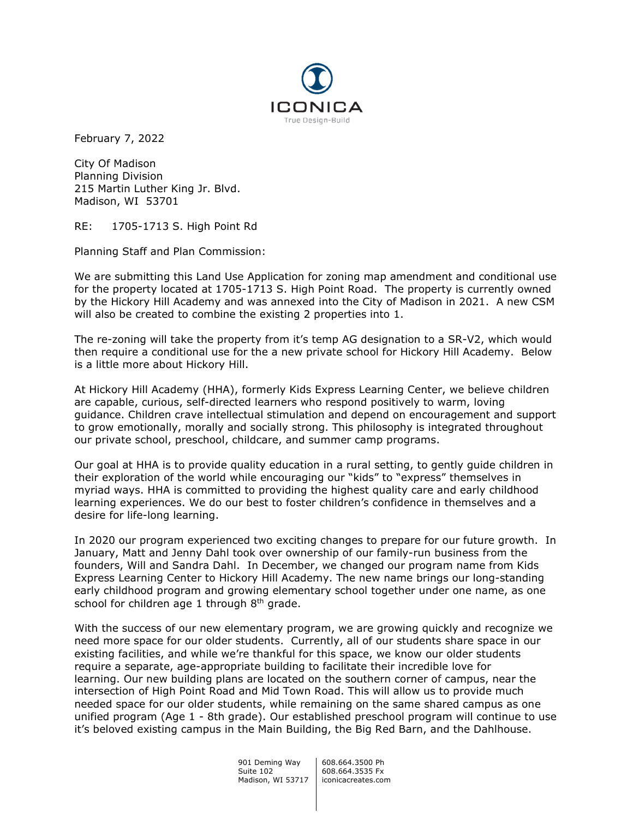

February 7, 2022

City Of Madison Planning Division 215 Martin Luther King Jr. Blvd. Madison, WI 53701

RE: 1705-1713 S. High Point Rd

Planning Staff and Plan Commission:

We are submitting this Land Use Application for zoning map amendment and conditional use for the property located at 1705-1713 S. High Point Road. The property is currently owned by the Hickory Hill Academy and was annexed into the City of Madison in 2021. A new CSM will also be created to combine the existing 2 properties into 1.

The re-zoning will take the property from it's temp AG designation to a SR-V2, which would then require a conditional use for the a new private school for Hickory Hill Academy. Below is a little more about Hickory Hill.

At Hickory Hill Academy (HHA), formerly Kids Express Learning Center, we believe children are capable, curious, self-directed learners who respond positively to warm, loving guidance. Children crave intellectual stimulation and depend on encouragement and support to grow emotionally, morally and socially strong. This philosophy is integrated throughout our private school, preschool, childcare, and summer camp programs.

Our goal at HHA is to provide quality education in a rural setting, to gently guide children in their exploration of the world while encouraging our "kids" to "express" themselves in myriad ways. HHA is committed to providing the highest quality care and early childhood learning experiences. We do our best to foster children's confidence in themselves and a desire for life-long learning.

In 2020 our program experienced two exciting changes to prepare for our future growth. In January, Matt and Jenny Dahl took over ownership of our family-run business from the founders, Will and Sandra Dahl. In December, we changed our program name from Kids Express Learning Center to Hickory Hill Academy. The new name brings our long-standing early childhood program and growing elementary school together under one name, as one school for children age 1 through  $8<sup>th</sup>$  grade.

With the success of our new elementary program, we are growing quickly and recognize we need more space for our older students. Currently, all of our students share space in our existing facilities, and while we're thankful for this space, we know our older students require a separate, age-appropriate building to facilitate their incredible love for learning. Our new building plans are located on the southern corner of campus, near the intersection of High Point Road and Mid Town Road. This will allow us to provide much needed space for our older students, while remaining on the same shared campus as one unified program (Age 1 - 8th grade). Our established preschool program will continue to use it's beloved existing campus in the Main Building, the Big Red Barn, and the Dahlhouse.

> 901 Deming Way | 608.664.3500 Ph Suite 102 608.664.3535 Fx Madison, WI 53717 | iconicacreates.com